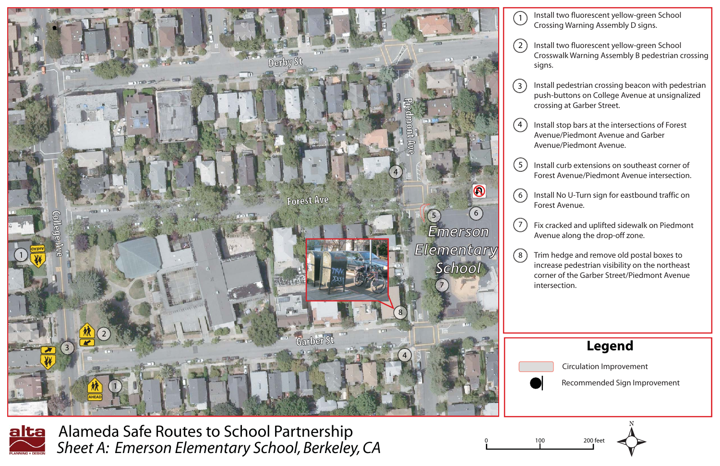|     | <b>Legend</b>                  |
|-----|--------------------------------|
|     | <b>Circulation Improvement</b> |
|     | Recommended Sign Improvement   |
|     |                                |
|     |                                |
| 100 | 200 feet                       |
|     |                                |

Alameda Safe Routes to School Partnership *Sheet A: Emerson Elementary School, Berkeley, CA*

Install two fluorescent yellow-green School Crossing Warning Assembly D signs.

Install two fluorescent yellow-green School Crosswalk Warning Assembly B pedestrian crossing signs.

Install pedestrian crossing beacon with pedestrian push-buttons on College Avenue at unsignalized crossing at Garber Street.



<u>alta</u>

Install stop bars at the intersections of Forest Avenue/Piedmont Avenue and Garber Avenue/Piedmont Avenue.

Install curb extensions on southeast corner of Forest Avenue/Piedmont Avenue intersection.

Install No U-Turn sign for eastbound traffic on Forest Avenue.

Fix cracked and uplifted sidewalk on Piedmont Avenue along the drop-off zone.

Trim hedge and remove old postal boxes to increase pedestrian visibility on the northeast corner of the Garber Street/Piedmont Avenue intersection.